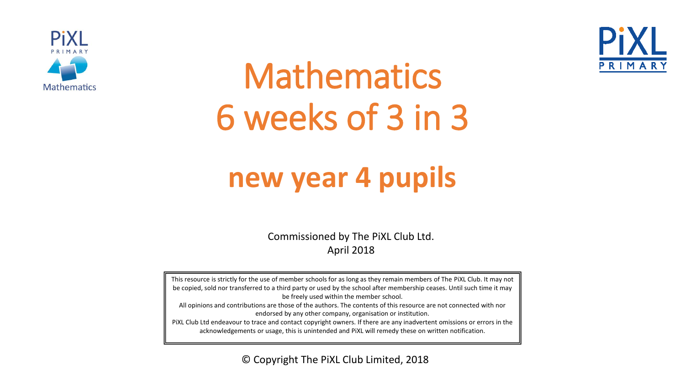



# Mathematics 6 weeks of 3 in 3

## **new year 4 pupils**

Commissioned by The PiXL Club Ltd. April 2018

This resource is strictly for the use of member schools for as long as they remain members of The PiXL Club. It may not be copied, sold nor transferred to a third party or used by the school after membership ceases. Until such time it may be freely used within the member school. All opinions and contributions are those of the authors. The contents of this resource are not connected with nor endorsed by any other company, organisation or institution. PiXL Club Ltd endeavour to trace and contact copyright owners. If there are any inadvertent omissions or errors in the acknowledgements or usage, this is unintended and PiXL will remedy these on written notification.

© Copyright The PiXL Club Limited, 2018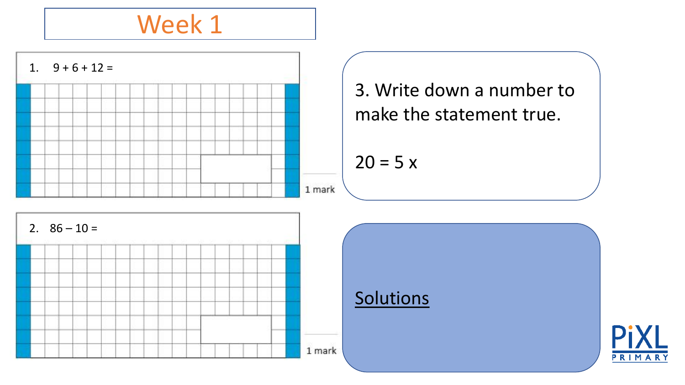

3. Write down a number to make the statement true.

 $20 = 5 x$ 

**Solutions** 



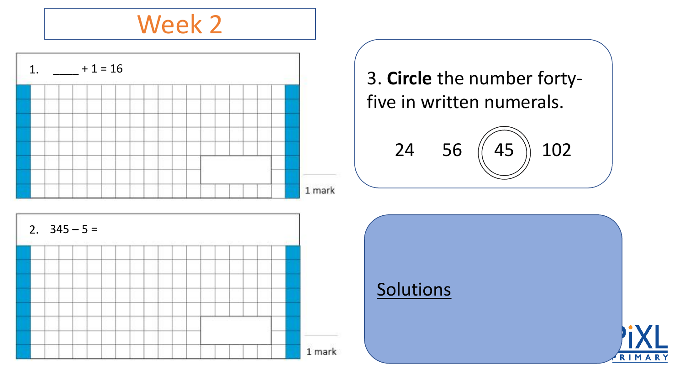

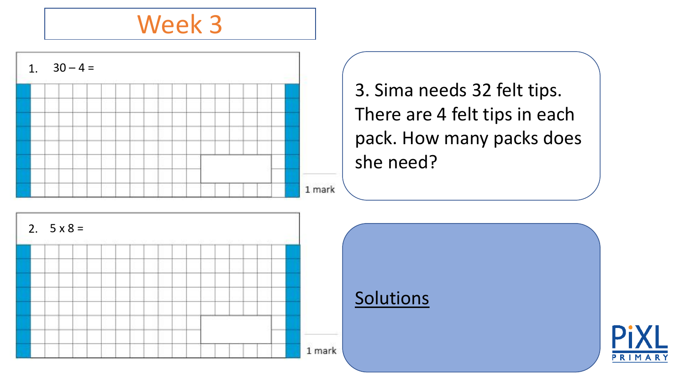

3. Sima needs 32 felt tips. There are 4 felt tips in each pack. How many packs does she need?

Solutions



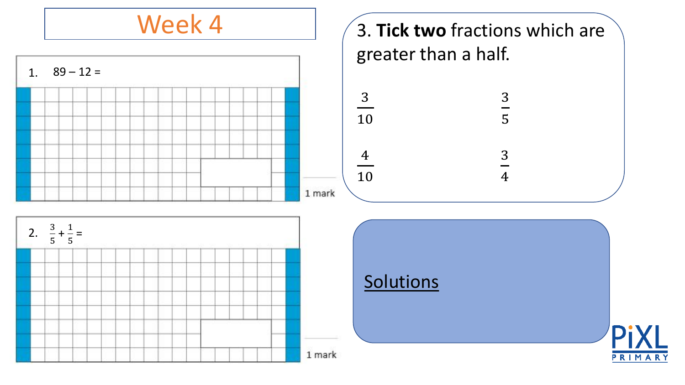Week 4





#### **Solutions**

1 mark

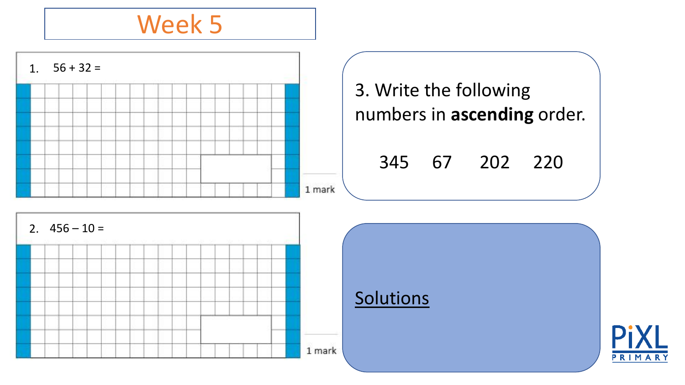



**Solutions** 

1 mark